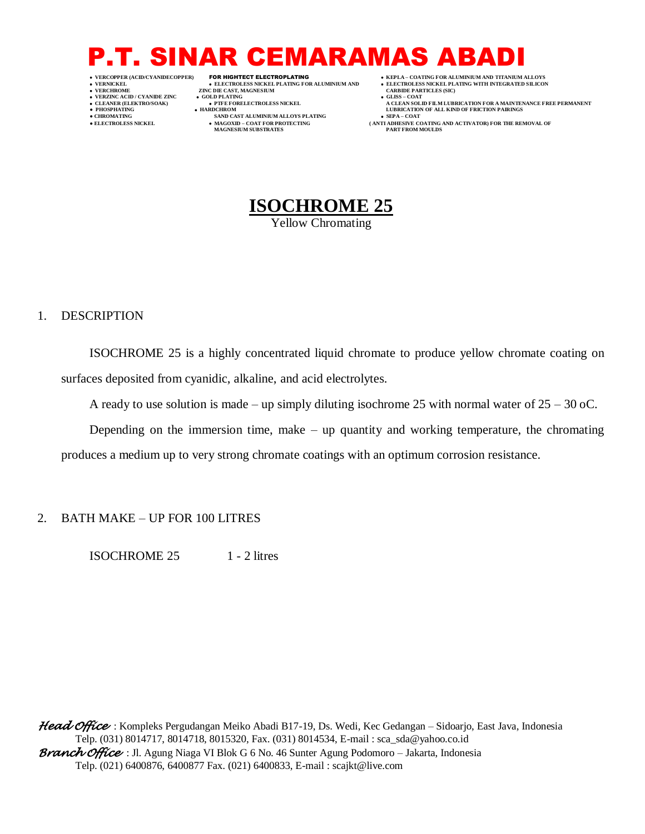## P.T. SINAR CEMARAMAS AB

- 
- 
- 

 **VERNICKEL ELECTROLESS NICKEL PLATING FOR ALUMINIUM AND ELECTROLESS NICKEL PLATING WITH INTEGRATED SILICON ZINC DIE CAST, MAGNESIUM • GOLD PLATING VERZINC ACID / CYANIDE ZINC GOLD PLATING GLISS – COAT**

- 
- **● CHROMATING SAND CAST ALUMINIUM ALLOYS PLATING SEPA – COAT**  $\bullet$  MAGOXID – COAT FOR PROTECTING MAGNESIUM SUBSTRATES
	-

 **VERCOPPER (ACID/CYANIDECOPPER)** FOR HIGHTECT ELECTROPLATING  **KEPLA – COATING FOR ALUMINIUM AND TITANIUM ALLOYS**

- 
- 
- **CLEANER (ELEKTRO/SOAK) PTFE FORELECTROLESS NICKEL A CLEAN SOLID FILM LUBRICATION FOR A MAINTENANCE FREE PERMANENT PHOSPHATING HARDCHROM LUBRICATION OF ALL KIND OF FRICTION PAIRINGS** 
	- **• SEPA COAT**<br>
	( ANTI ADHESIVE COATING AND ACTIVATOR) FOR THE REMOVAL OF<br>
	PART FROM MOULDS



Yellow Chromating

#### 1. DESCRIPTION

ISOCHROME 25 is a highly concentrated liquid chromate to produce yellow chromate coating on surfaces deposited from cyanidic, alkaline, and acid electrolytes.

A ready to use solution is made – up simply diluting isochrome 25 with normal water of  $25 - 30$  oC.

Depending on the immersion time, make  $-$  up quantity and working temperature, the chromating produces a medium up to very strong chromate coatings with an optimum corrosion resistance.

### 2. BATH MAKE – UP FOR 100 LITRES

ISOCHROME 25 1 - 2 litres

*Head Office* : Kompleks Pergudangan Meiko Abadi B17-19, Ds. Wedi, Kec Gedangan – Sidoarjo, East Java, Indonesia Telp. (031) 8014717, 8014718, 8015320, Fax. (031) 8014534, E-mail : sca\_sda@yahoo.co.id *Branch Office* : Jl. Agung Niaga VI Blok G 6 No. 46 Sunter Agung Podomoro – Jakarta, Indonesia Telp. (021) 6400876, 6400877 Fax. (021) 6400833, E-mail : scajkt@live.com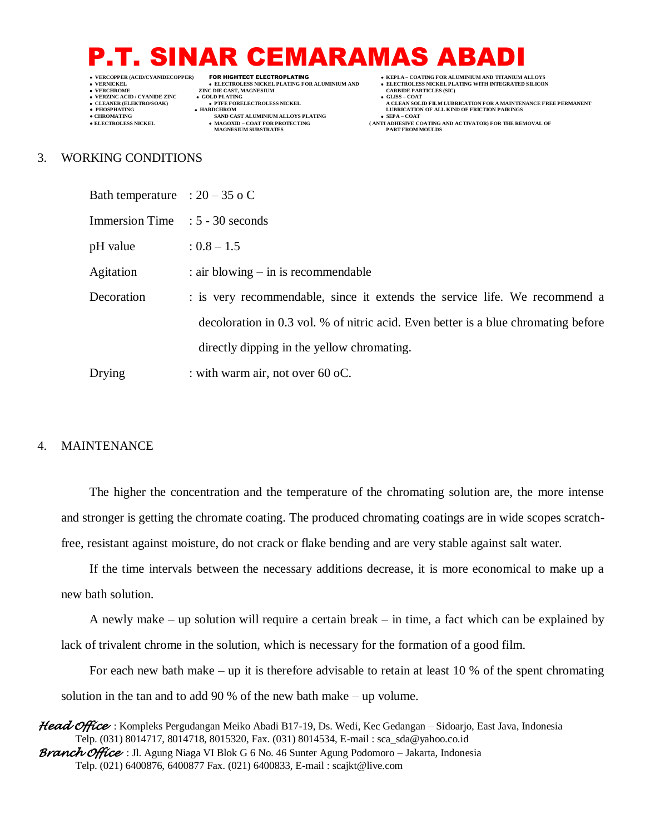## P.T. SINAR CEMARAMAS AB

- 
- 
- 
- 

 **VERNICKEL ELECTROLESS NICKEL PLATING FOR ALUMINIUM AND ELECTROLESS NICKEL PLATING WITH INTEGRATED SILICON ZINC DIE CAST, MAGNESIUM CARBIT DE LATING** 

- **VERZINC ACID / CYANIDE ZINC GOLD PLATING GLISS – COAT**
- **CHROMATING CHROMATING SAND CAST ALUMINIUM ALLOYS PLATING SEPA –** COAT<br>  **BLECTROLESS NICKEL MAGOXID COAT FOR PROTECTING** (ANTI ADHESIVE CO
	- $\bullet$  MAGOXID COAT FOR PROTECTING MAGNESIUM SUBSTRATES
- **VERCOPPER (ACID/CYANIDECOPPER)** FOR HIGHTECT ELECTROPLATING  **KEPLA – COATING FOR ALUMINIUM AND TITANIUM ALLOYS**
	-
	-
- **CLEANER (ELEKTRO/SOAK) PTFE FORELECTROLESS NICKEL A CLEAN SOLID FILM LUBRICATION FOR A MAINTENANCE FREE PERMANENT PHOSPHATING HARDCHROM LUBRICATION OF ALL KIND OF FRICTION PAIRINGS** 
	- **ANTI ADHESIVE COATING AND ACTIVATOR) FOR THE REMOVAL OF PART FROM MOULDS**

#### 3. WORKING CONDITIONS

| Bath temperature : $20 - 35$ o C |                                                                                    |
|----------------------------------|------------------------------------------------------------------------------------|
| Immersion Time : 5 - 30 seconds  |                                                                                    |
| pH value                         | $: 0.8 - 1.5$                                                                      |
| Agitation                        | $:$ air blowing $-$ in is recommendable                                            |
| Decoration                       | : is very recommendable, since it extends the service life. We recommend a         |
|                                  | decoloration in 0.3 vol. % of nitric acid. Even better is a blue chromating before |
|                                  | directly dipping in the yellow chromating.                                         |
| Drying                           | : with warm air, not over 60 oC.                                                   |

#### 4. MAINTENANCE

The higher the concentration and the temperature of the chromating solution are, the more intense and stronger is getting the chromate coating. The produced chromating coatings are in wide scopes scratchfree, resistant against moisture, do not crack or flake bending and are very stable against salt water.

If the time intervals between the necessary additions decrease, it is more economical to make up a new bath solution.

A newly make – up solution will require a certain break – in time, a fact which can be explained by lack of trivalent chrome in the solution, which is necessary for the formation of a good film.

For each new bath make – up it is therefore advisable to retain at least 10 % of the spent chromating solution in the tan and to add 90 % of the new bath make – up volume.

*Head Office* : Kompleks Pergudangan Meiko Abadi B17-19, Ds. Wedi, Kec Gedangan – Sidoarjo, East Java, Indonesia Telp. (031) 8014717, 8014718, 8015320, Fax. (031) 8014534, E-mail : sca\_sda@yahoo.co.id *Branch Office* : Jl. Agung Niaga VI Blok G 6 No. 46 Sunter Agung Podomoro – Jakarta, Indonesia Telp. (021) 6400876, 6400877 Fax. (021) 6400833, E-mail : scajkt@live.com